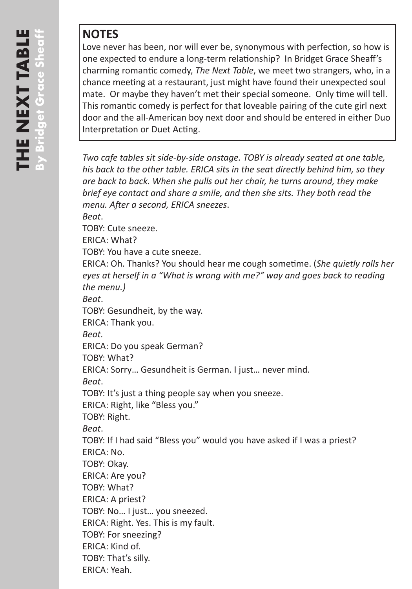## **NOTES**

Love never has been, nor will ever be, synonymous with perfection, so how is one expected to endure a long-term relationship? In Bridget Grace Sheaff's charming romantic comedy, *The Next Table*, we meet two strangers, who, in a chance meeting at a restaurant, just might have found their unexpected soul mate. Or maybe they haven't met their special someone. Only time will tell. This romantic comedy is perfect for that loveable pairing of the cute girl next door and the all-American boy next door and should be entered in either Duo Interpretation or Duet Acting.

*Two cafe tables sit side-by-side onstage. TOBY is already seated at one table, his back to the other table. ERICA sits in the seat directly behind him, so they are back to back. When she pulls out her chair, he turns around, they make brief eye contact and share a smile, and then she sits. They both read the menu. After a second, ERICA sneezes*. *Beat*. TOBY: Cute sneeze. ERICA: What? TOBY: You have a cute sneeze. ERICA: Oh. Thanks? You should hear me cough sometime. (*She quietly rolls her eyes at herself in a "What is wrong with me?" way and goes back to reading the menu.) Beat*. TOBY: Gesundheit, by the way. ERICA: Thank you. *Beat.* ERICA: Do you speak German? TOBY: What? ERICA: Sorry… Gesundheit is German. I just… never mind. *Beat*. TOBY: It's just a thing people say when you sneeze. ERICA: Right, like "Bless you." TOBY: Right. *Beat*. TOBY: If I had said "Bless you" would you have asked if I was a priest? ERICA: No. TOBY: Okay. ERICA: Are you? TOBY: What? ERICA: A priest? TOBY: No… I just… you sneezed. ERICA: Right. Yes. This is my fault. TOBY: For sneezing? ERICA: Kind of. TOBY: That's silly. ERICA: Yeah.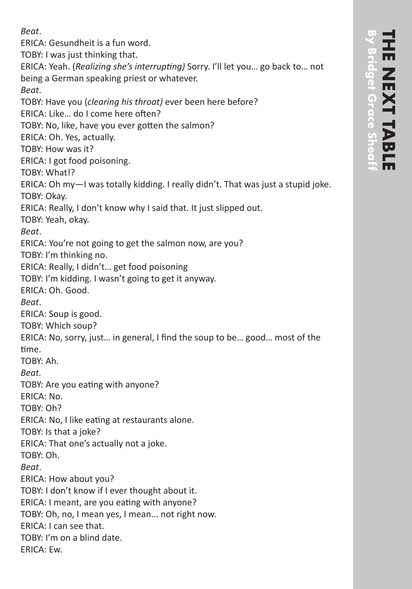ERICA: Gesundheit is a fun word. TOBY: I was just thinking that. ERICA: Yeah. (*Realizing she's interrupting)* Sorry. I'll let you… go back to… not being a German speaking priest or whatever. *Beat*. TOBY: Have you (*clearing his throat)* ever been here before? ERICA: Like… do I come here often? TOBY: No, like, have you ever gotten the salmon? ERICA: Oh. Yes, actually. TOBY: How was it? ERICA: I got food poisoning. TOBY: What!? ERICA: Oh my—I was totally kidding. I really didn't. That was just a stupid joke. TOBY: Okay. ERICA: Really, I don't know why I said that. It just slipped out. TOBY: Yeah, okay. *Beat*. ERICA: You're not going to get the salmon now, are you? TOBY: I'm thinking no. ERICA: Really, I didn't… get food poisoning TOBY: I'm kidding. I wasn't going to get it anyway. ERICA: Oh. Good. *Beat*. ERICA: Soup is good. TOBY: Which soup? ERICA: No, sorry, just… in general, I find the soup to be… good… most of the time. TOBY: Ah. *Beat.* TOBY: Are you eating with anyone? ERICA: No. TOBY: Oh? ERICA: No, I like eating at restaurants alone. TOBY: Is that a joke? ERICA: That one's actually not a joke. TOBY: Oh. *Beat*. ERICA: How about you? TOBY: I don't know if I ever thought about it. ERICA: I meant, are you eating with anyone? TOBY: Oh, no, I mean yes, I mean... not right now. ERICA: I can see that. TOBY: I'm on a blind date. ERICA: Ew.

*Beat*.